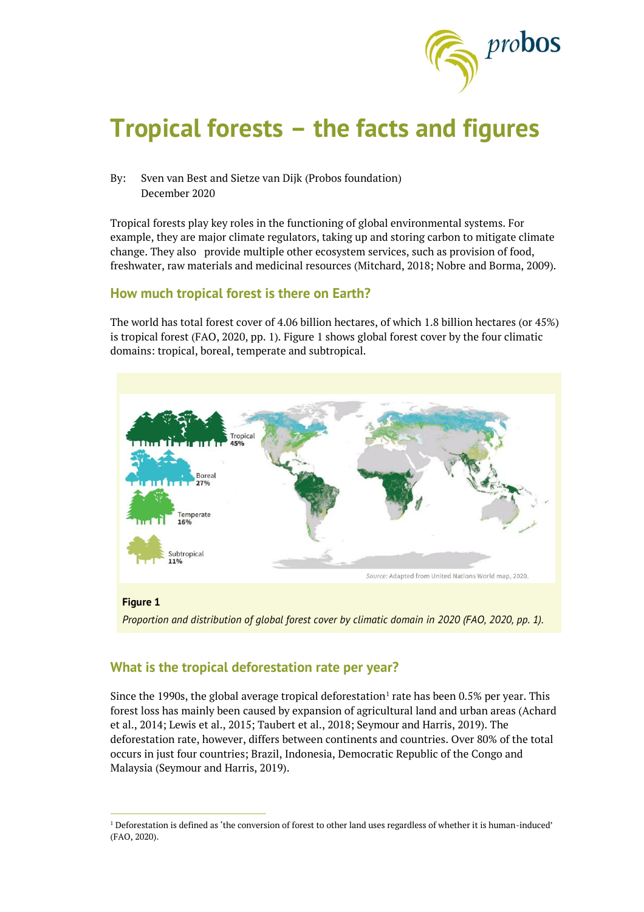

# **Tropical forests – the facts and figures**

By: Sven van Best and Sietze van Dijk (Probos foundation) December 2020

Tropical forests play key roles in the functioning of global environmental systems. For example, they are major climate regulators, taking up and storing carbon to mitigate climate change. They also provide multiple other ecosystem services, such as provision of food, freshwater, raw materials and medicinal resources (Mitchard, 2018; Nobre and Borma, 2009).

#### **How much tropical forest is there on Earth?**

The world has total forest cover of 4.06 billion hectares, of which 1.8 billion hectares (or 45%) is tropical forest (FAO, 2020, pp. 1). Figure 1 shows global forest cover by the four climatic domains: tropical, boreal, temperate and subtropical.



*Proportion and distribution of global forest cover by climatic domain in 2020 (FAO, 2020, pp. 1).*

## **What is the tropical deforestation rate per year?**

 $\overline{a}$ 

Since the 1990s, the global average tropical deforestation $^{\rm l}$  rate has been 0.5% per year. This forest loss has mainly been caused by expansion of agricultural land and urban areas (Achard et al., 2014; Lewis et al., 2015; Taubert et al., 2018; Seymour and Harris, 2019). The deforestation rate, however, differs between continents and countries. Over 80% of the total occurs in just four countries; Brazil, Indonesia, Democratic Republic of the Congo and Malaysia (Seymour and Harris, 2019).

<sup>1</sup> Deforestation is defined as 'the conversion of forest to other land uses regardless of whether it is human-induced' (FAO, 2020).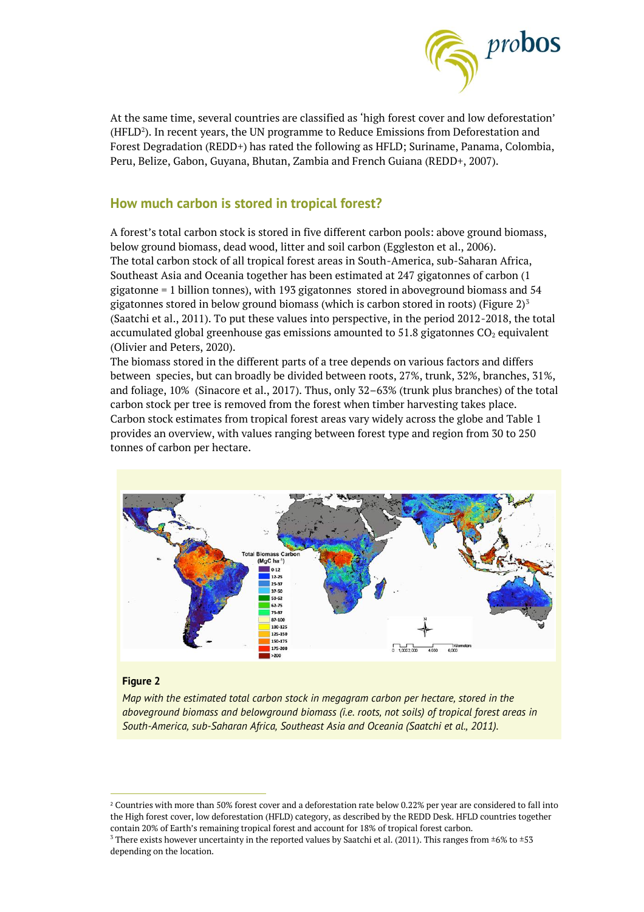

At the same time, several countries are classified as 'high forest cover and low deforestation' (HFLD $^2$ ). In recent years, the UN programme to Reduce Emissions from Deforestation and Forest Degradation (REDD+) has rated the following as HFLD; Suriname, Panama, Colombia, Peru, Belize, Gabon, Guyana, Bhutan, Zambia and French Guiana (REDD+, 2007).

## **How much carbon is stored in tropical forest?**

A forest's total carbon stock is stored in five different carbon pools: above ground biomass, below ground biomass, dead wood, litter and soil carbon (Eggleston et al., 2006). The total carbon stock of all tropical forest areas in South-America, sub-Saharan Africa, Southeast Asia and Oceania together has been estimated at 247 gigatonnes of carbon (1 gigatonne = 1 billion tonnes), with 193 gigatonnes stored in aboveground biomass and 54 gigatonnes stored in below ground biomass (which is carbon stored in roots) (Figure  $2)^3$ (Saatchi et al., 2011). To put these values into perspective, in the period 2012-2018, the total accumulated global greenhouse gas emissions amounted to 51.8 gigatonnes  $CO<sub>2</sub>$  equivalent (Olivier and Peters, 2020).

The biomass stored in the different parts of a tree depends on various factors and differs between species, but can broadly be divided between roots, 27%, trunk, 32%, branches, 31%, and foliage, 10% (Sinacore et al., 2017). Thus, only 32–63% (trunk plus branches) of the total carbon stock per tree is removed from the forest when timber harvesting takes place. Carbon stock estimates from tropical forest areas vary widely across the globe and Table 1 provides an overview, with values ranging between forest type and region from 30 to 250 tonnes of carbon per hectare.



#### **Figure 2**

 $\overline{a}$ 

*Map with the estimated total carbon stock in megagram carbon per hectare, stored in the aboveground biomass and belowground biomass (i.e. roots, not soils) of tropical forest areas in South-America, sub-Saharan Africa, Southeast Asia and Oceania (Saatchi et al., 2011).*

<sup>&</sup>lt;sup>2</sup> Countries with more than 50% forest cover and a deforestation rate below 0.22% per year are considered to fall into the High forest cover, low deforestation (HFLD) category, as described by the REDD Desk. HFLD countries together contain 20% of Earth's remaining tropical forest and account for 18% of tropical forest carbon.

<sup>&</sup>lt;sup>3</sup> There exists however uncertainty in the reported values by Saatchi et al. (2011). This ranges from  $\pm 6\%$  to  $\pm 53$ depending on the location.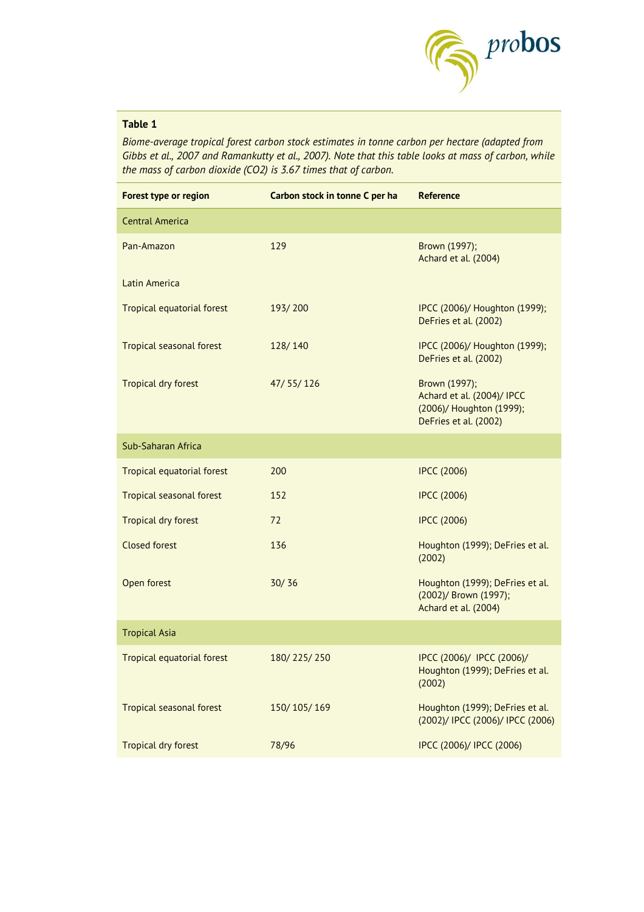

### **Table 1**

*Biome-average tropical forest carbon stock estimates in tonne carbon per hectare (adapted from Gibbs et al., 2007 and Ramankutty et al., 2007). Note that this table looks at mass of carbon, while the mass of carbon dioxide (CO2) is 3.67 times that of carbon.*

| Forest type or region             | Carbon stock in tonne C per ha | <b>Reference</b>                                                                                 |
|-----------------------------------|--------------------------------|--------------------------------------------------------------------------------------------------|
| <b>Central America</b>            |                                |                                                                                                  |
| Pan-Amazon                        | 129                            | Brown (1997);<br>Achard et al. (2004)                                                            |
| Latin America                     |                                |                                                                                                  |
| <b>Tropical equatorial forest</b> | 193/200                        | IPCC (2006)/ Houghton (1999);<br>DeFries et al. (2002)                                           |
| Tropical seasonal forest          | 128/140                        | IPCC (2006)/ Houghton (1999);<br>DeFries et al. (2002)                                           |
| <b>Tropical dry forest</b>        | 47/55/126                      | Brown (1997);<br>Achard et al. (2004)/ IPCC<br>(2006)/ Houghton (1999);<br>DeFries et al. (2002) |
| Sub-Saharan Africa                |                                |                                                                                                  |
| <b>Tropical equatorial forest</b> | 200                            | <b>IPCC (2006)</b>                                                                               |
| <b>Tropical seasonal forest</b>   | 152                            | <b>IPCC (2006)</b>                                                                               |
| <b>Tropical dry forest</b>        | 72                             | <b>IPCC (2006)</b>                                                                               |
| <b>Closed forest</b>              | 136                            | Houghton (1999); DeFries et al.<br>(2002)                                                        |
| Open forest                       | 30/36                          | Houghton (1999); DeFries et al.<br>(2002)/ Brown (1997);<br>Achard et al. (2004)                 |
| <b>Tropical Asia</b>              |                                |                                                                                                  |
| <b>Tropical equatorial forest</b> | 180/225/250                    | IPCC (2006)/ IPCC (2006)/<br>Houghton (1999); DeFries et al.<br>(2002)                           |
| <b>Tropical seasonal forest</b>   | 150/105/169                    | Houghton (1999); DeFries et al.<br>(2002)/ IPCC (2006)/ IPCC (2006)                              |
| <b>Tropical dry forest</b>        | 78/96                          | IPCC (2006)/ IPCC (2006)                                                                         |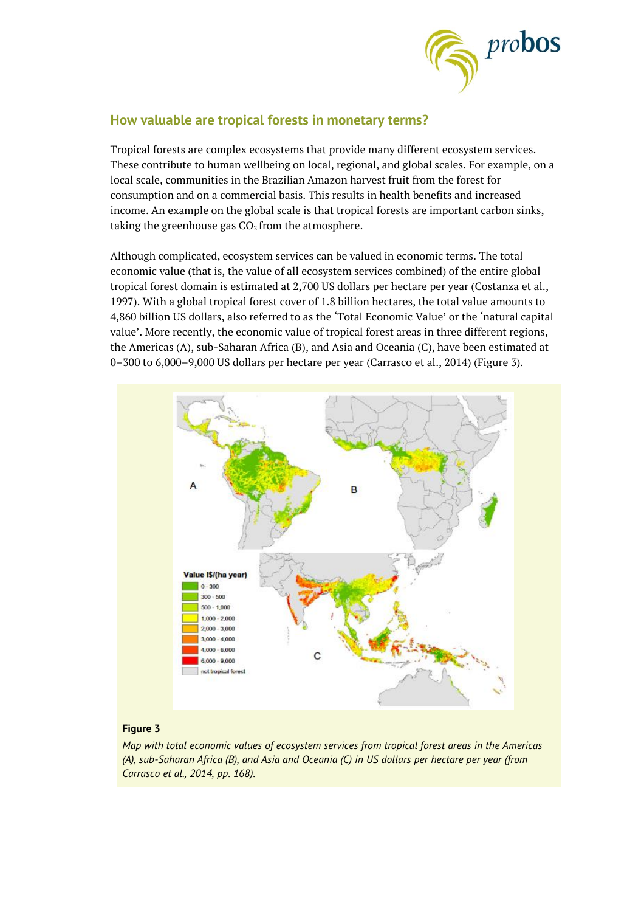

## **How valuable are tropical forests in monetary terms?**

Tropical forests are complex ecosystems that provide many different ecosystem services. These contribute to human wellbeing on local, regional, and global scales. For example, on a local scale, communities in the Brazilian Amazon harvest fruit from the forest for consumption and on a commercial basis. This results in health benefits and increased income. An example on the global scale is that tropical forests are important carbon sinks, taking the greenhouse gas  $CO<sub>2</sub>$  from the atmosphere.

Although complicated, ecosystem services can be valued in economic terms. The total economic value (that is, the value of all ecosystem services combined) of the entire global tropical forest domain is estimated at 2,700 US dollars per hectare per year (Costanza et al., 1997). With a global tropical forest cover of 1.8 billion hectares, the total value amounts to 4,860 billion US dollars, also referred to as the 'Total Economic Value' or the 'natural capital value'. More recently, the economic value of tropical forest areas in three different regions, the Americas (A), sub-Saharan Africa (B), and Asia and Oceania (C), have been estimated at 0–300 to 6,000–9,000 US dollars per hectare per year (Carrasco et al., 2014) (Figure 3).



#### **Figure 3**

*Map with total economic values of ecosystem services from tropical forest areas in the Americas (A), sub-Saharan Africa (B), and Asia and Oceania (C) in US dollars per hectare per year (from Carrasco et al., 2014, pp. 168).*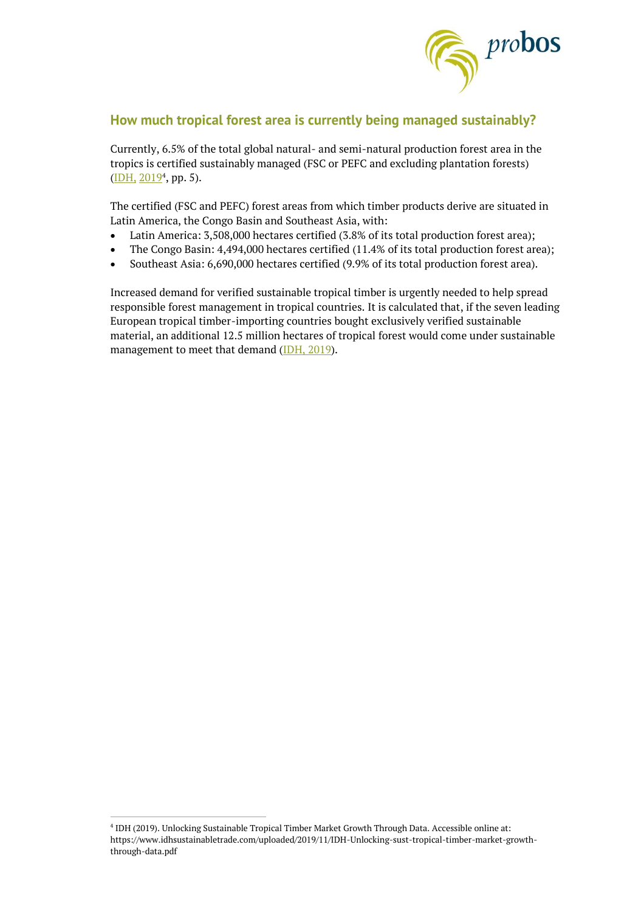

## **How much tropical forest area is currently being managed sustainably?**

Currently, 6.5% of the total global natural- and semi-natural production forest area in the tropics is certified sustainably managed (FSC or PEFC and excluding plantation forests) (<u>IDH, 2019</u><sup>4</sup>, pp. 5).

The certified (FSC and PEFC) forest areas from which timber products derive are situated in Latin America, the Congo Basin and Southeast Asia, with:

- Latin America: 3,508,000 hectares certified (3.8% of its total production forest area);
- The Congo Basin: 4,494,000 hectares certified (11.4% of its total production forest area);
- Southeast Asia: 6,690,000 hectares certified (9.9% of its total production forest area).

Increased demand for verified sustainable tropical timber is urgently needed to help spread responsible forest management in tropical countries. It is calculated that, if the seven leading European tropical timber-importing countries bought exclusively verified sustainable material, an additional 12.5 million hectares of tropical forest would come under sustainable management to meet that demand [\(IDH, 2019\)](https://www.idhsustainabletrade.com/uploaded/2019/11/IDH-Unlocking-sust-tropical-timber-market-growth-through-data.pdf).

 $\overline{a}$ 

<sup>4</sup> IDH (2019). Unlocking Sustainable Tropical Timber Market Growth Through Data. Accessible online at: https://www.idhsustainabletrade.com/uploaded/2019/11/IDH-Unlocking-sust-tropical-timber-market-growththrough-data.pdf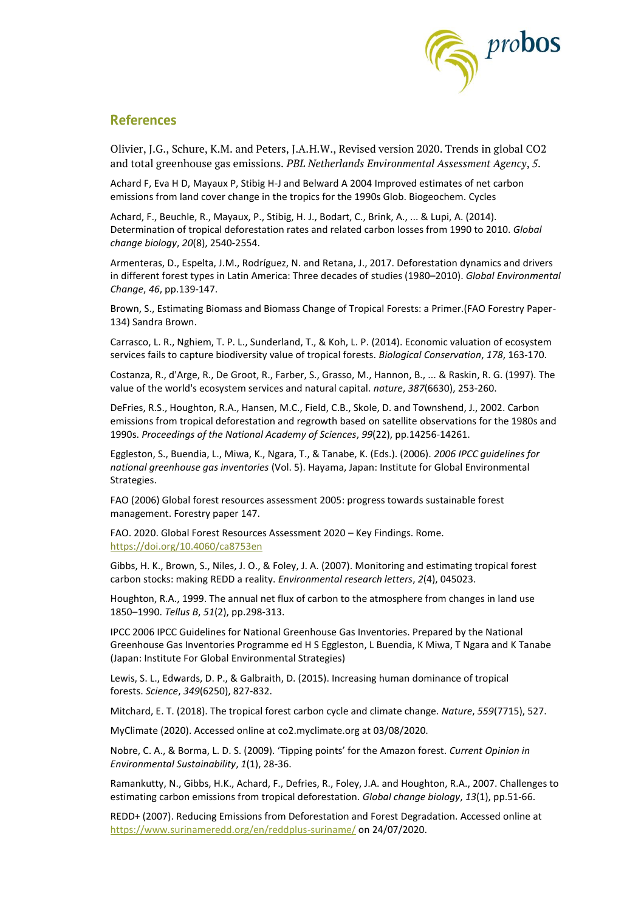

### **References**

Olivier, J.G., Schure, K.M. and Peters, J.A.H.W., Revised version 2020. Trends in global CO2 and total greenhouse gas emissions. *PBL Netherlands Environmental Assessment Agency*, *5*.

Achard F, Eva H D, Mayaux P, Stibig H-J and Belward A 2004 Improved estimates of net carbon emissions from land cover change in the tropics for the 1990s Glob. Biogeochem. Cycles

Achard, F., Beuchle, R., Mayaux, P., Stibig, H. J., Bodart, C., Brink, A., ... & Lupi, A. (2014). Determination of tropical deforestation rates and related carbon losses from 1990 to 2010. *Global change biology*, *20*(8), 2540-2554.

Armenteras, D., Espelta, J.M., Rodríguez, N. and Retana, J., 2017. Deforestation dynamics and drivers in different forest types in Latin America: Three decades of studies (1980–2010). *Global Environmental Change*, *46*, pp.139-147.

Brown, S., Estimating Biomass and Biomass Change of Tropical Forests: a Primer.(FAO Forestry Paper-134) Sandra Brown.

Carrasco, L. R., Nghiem, T. P. L., Sunderland, T., & Koh, L. P. (2014). Economic valuation of ecosystem services fails to capture biodiversity value of tropical forests. *Biological Conservation*, *178*, 163-170.

Costanza, R., d'Arge, R., De Groot, R., Farber, S., Grasso, M., Hannon, B., ... & Raskin, R. G. (1997). The value of the world's ecosystem services and natural capital. *nature*, *387*(6630), 253-260.

DeFries, R.S., Houghton, R.A., Hansen, M.C., Field, C.B., Skole, D. and Townshend, J., 2002. Carbon emissions from tropical deforestation and regrowth based on satellite observations for the 1980s and 1990s. *Proceedings of the National Academy of Sciences*, *99*(22), pp.14256-14261.

Eggleston, S., Buendia, L., Miwa, K., Ngara, T., & Tanabe, K. (Eds.). (2006). *2006 IPCC guidelines for national greenhouse gas inventories* (Vol. 5). Hayama, Japan: Institute for Global Environmental Strategies.

FAO (2006) Global forest resources assessment 2005: progress towards sustainable forest management. Forestry paper 147.

FAO. 2020. Global Forest Resources Assessment 2020 – Key Findings. Rome. <https://doi.org/10.4060/ca8753en>

Gibbs, H. K., Brown, S., Niles, J. O., & Foley, J. A. (2007). Monitoring and estimating tropical forest carbon stocks: making REDD a reality. *Environmental research letters*, *2*(4), 045023.

Houghton, R.A., 1999. The annual net flux of carbon to the atmosphere from changes in land use 1850–1990. *Tellus B*, *51*(2), pp.298-313.

IPCC 2006 IPCC Guidelines for National Greenhouse Gas Inventories. Prepared by the National Greenhouse Gas Inventories Programme ed H S Eggleston, L Buendia, K Miwa, T Ngara and K Tanabe (Japan: Institute For Global Environmental Strategies)

Lewis, S. L., Edwards, D. P., & Galbraith, D. (2015). Increasing human dominance of tropical forests. *Science*, *349*(6250), 827-832.

Mitchard, E. T. (2018). The tropical forest carbon cycle and climate change. *Nature*, *559*(7715), 527.

MyClimate (2020). Accessed online at co2.myclimate.org at 03/08/2020.

Nobre, C. A., & Borma, L. D. S. (2009). 'Tipping points' for the Amazon forest. *Current Opinion in Environmental Sustainability*, *1*(1), 28-36.

Ramankutty, N., Gibbs, H.K., Achard, F., Defries, R., Foley, J.A. and Houghton, R.A., 2007. Challenges to estimating carbon emissions from tropical deforestation. *Global change biology*, *13*(1), pp.51-66.

REDD+ (2007). Reducing Emissions from Deforestation and Forest Degradation. Accessed online at <https://www.surinameredd.org/en/reddplus-suriname/> on 24/07/2020.